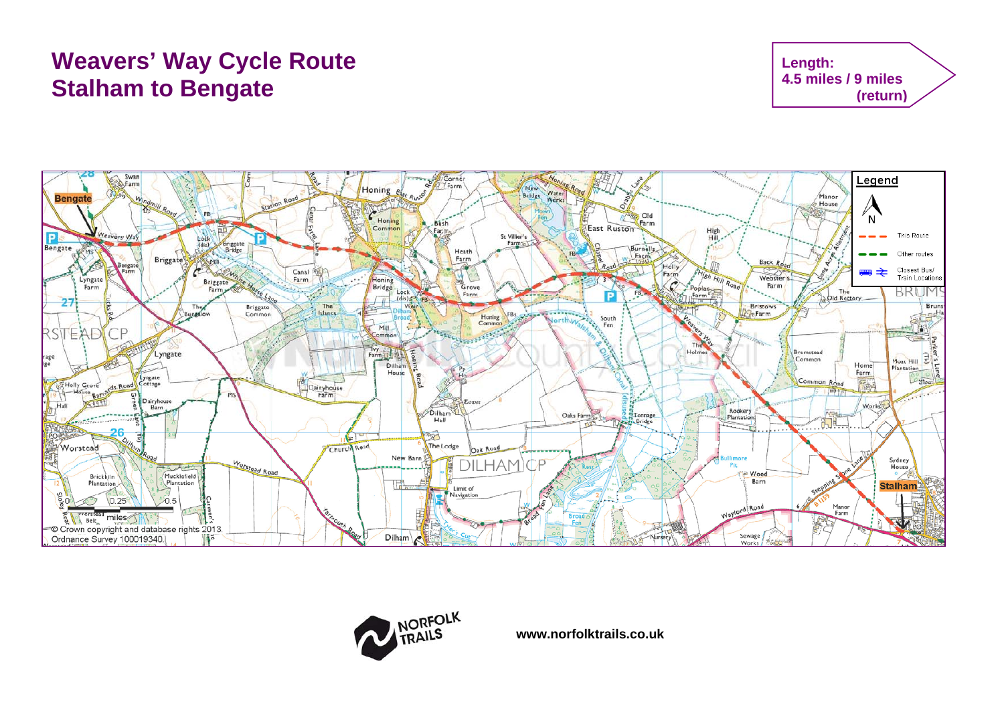# **Weavers' Way Cycle Route Stalham to Bengate**







**www.norfolktrails.co.uk**